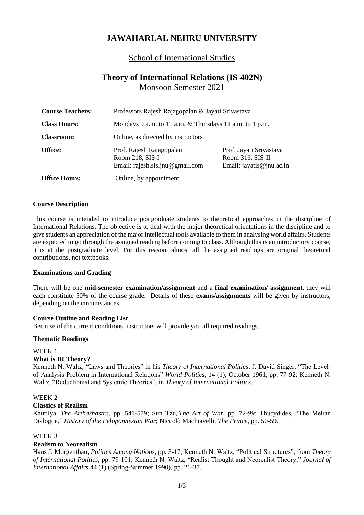# **JAWAHARLAL NEHRU UNIVERSITY**

# School of International Studies

# **Theory of International Relations (IS-402N)** Monsoon Semester 2021

| <b>Course Teachers:</b> | Professors Rajesh Rajagopalan & Jayati Srivastava                              |                                                                         |
|-------------------------|--------------------------------------------------------------------------------|-------------------------------------------------------------------------|
| <b>Class Hours:</b>     | Mondays 9 a.m. to 11 a.m. & Thursdays 11 a.m. to 1 p.m.                        |                                                                         |
| <b>Classroom:</b>       | Online, as directed by instructors                                             |                                                                         |
| Office:                 | Prof. Rajesh Rajagopalan<br>Room 218, SIS-I<br>Email: rajesh.sis.jnu@gmail.com | Prof. Jayati Srivastava<br>Room 316, SIS-II<br>Email: jayatis@jnu.ac.in |
| <b>Office Hours:</b>    | Online, by appointment                                                         |                                                                         |

#### **Course Description**

This course is intended to introduce postgraduate students to theoretical approaches in the discipline of International Relations. The objective is to deal with the major theoretical orientations in the discipline and to give students an appreciation of the major intellectual tools available to them in analysing world affairs. Students are expected to go through the assigned reading before coming to class. Although this is an introductory course, it is at the postgraduate level. For this reason, almost all the assigned readings are original theoretical contributions, not textbooks.

#### **Examinations and Grading**

There will be one **mid-semester examination/assignment** and a **final examination/ assignment**, they will each constitute 50% of the course grade. Details of these **exams/assignments** will be given by instructors, depending on the circumstances.

#### **Course Outline and Reading List**

Because of the current conditions, instructors will provide you all required readings.

#### **Thematic Readings**

WEEK 1

## **What is IR Theory?**

Kenneth N. Waltz, "Laws and Theories" in his *Theory of International Politics*; J. David Singer, "The Levelof-Analysis Problem in International Relations" *World Politics*, 14 (1), October 1961, pp. 77-92; Kenneth N. Waltz, "Reductionist and Systemic Theories", in *Theory of International Politics.*

#### WEEK 2

#### **Classics of Realism**

Kautilya, *The Arthashastra*, pp. 541-579; Sun Tzu, *The Art of War*, pp. 72-99; Thucydides, "The Melian Dialogue," *History of the Peloponnesian War*; Niccolò Machiavelli, *The Prince*, pp. 50-59.

#### WEEK 3

## **Realism to Neorealism**

Hans J. Morgenthau, *Politics Among Nations*, pp. 3-17; Kenneth N. Waltz, "Political Structures", from *Theory of International Politics*, pp. 79-101; Kenneth N. Waltz, "Realist Thought and Neorealist Theory," *Journal of International Affairs* 44 (1) (Spring-Summer 1990), pp. 21-37.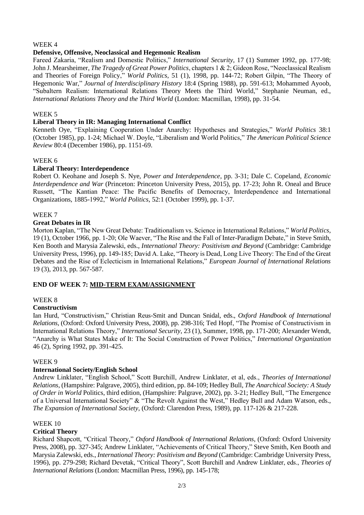# WEEK 4

# **Defensive, Offensive, Neoclassical and Hegemonic Realism**

Fareed Zakaria, "Realism and Domestic Politics," *International Security*, 17 (1) Summer 1992, pp. 177-98; John J. Mearsheimer, *The Tragedy of Great Power Politics*, chapters 1 & 2; Gideon Rose, "Neoclassical Realism and Theories of Foreign Policy," *World Politics*, 51 (1), 1998, pp. 144-72; Robert Gilpin, "The Theory of Hegemonic War," *Journal of Interdisciplinary History* 18:4 (Spring 1988), pp. 591-613; Mohammed Ayoob, "Subaltern Realism: International Relations Theory Meets the Third World," Stephanie Neuman, ed., *International Relations Theory and the Third World* (London: Macmillan, 1998), pp. 31-54.

## WEEK 5

# **Liberal Theory in IR: Managing International Conflict**

Kenneth Oye, "Explaining Cooperation Under Anarchy: Hypotheses and Strategies," *World Politics* 38:1 (October 1985), pp. 1-24; Michael W. Doyle, "Liberalism and World Politics," *The American Political Science Review* 80:4 (December 1986), pp. 1151-69.

# WEEK 6

# **Liberal Theory: Interdependence**

Robert O. Keohane and Joseph S. Nye, *Power and Interdependence*, pp. 3-31; Dale C. Copeland, *Economic Interdependence and War* (Princeton: Princeton University Press, 2015), pp. 17-23; John R. Oneal and Bruce Russett, "The Kantian Peace: The Pacific Benefits of Democracy, Interdependence and International Organizations, 1885-1992," *World Politics*, 52:1 (October 1999), pp. 1-37.

# WEEK 7

# **Great Debates in IR**

Morton Kaplan, "The New Great Debate: Traditionalism vs. Science in International Relations," *World Politics*, 19 (1), October 1966, pp. 1-20; Ole Waever, "The Rise and the Fall of Inter-Paradigm Debate," in Steve Smith, Ken Booth and Marysia Zalewski, eds., *International Theory: Positivism and Beyond* (Cambridge: Cambridge University Press, 1996), pp. 149-185; David A. Lake, "Theory is Dead, Long Live Theory: The End of the Great Debates and the Rise of Eclecticism in International Relations," *European Journal of International Relations* 19 (3), 2013, pp. 567-587.

# **END OF WEEK 7: MID-TERM EXAM/ASSIGNMENT**

## WEEK 8

## **Constructivism**

Ian Hurd, "Constructivism," Christian Reus-Smit and Duncan Snidal, eds., *Oxford Handbook of International Relations*, (Oxford: Oxford University Press, 2008), pp. 298-316; Ted Hopf, "The Promise of Constructivism in International Relations Theory," *International Security*, 23 (1), Summer, 1998, pp. 171-200; Alexander Wendt, "Anarchy is What States Make of It: The Social Construction of Power Politics," *International Organization* 46 (2), Spring 1992, pp. 391-425.

## WEEK 9

## **International Society/English School**

Andrew Linklater, "English School," Scott Burchill, Andrew Linklater, et al, eds., *Theories of International Relations*, (Hampshire: Palgrave, 2005), third edition, pp. 84-109; Hedley Bull, *The Anarchical Society: A Study of Order in World* Politics, third edition, (Hampshire: Palgrave, 2002), pp. 3-21; Hedley Bull, "The Emergence of a Universal International Society" & "The Revolt Against the West," Hedley Bull and Adam Watson, eds., *The Expansion of International Society*, (Oxford: Clarendon Press, 1989), pp. 117-126 & 217-228.

## WEEK 10

# **Critical Theory**

Richard Shapcott, "Critical Theory," *Oxford Handbook of International Relations*, (Oxford: Oxford University Press, 2008), pp. 327-345; Andrew Linklater, "Achievements of Critical Theory," Steve Smith, Ken Booth and Marysia Zalewski, eds., *International Theory: Positivism and Beyond* (Cambridge: Cambridge University Press, 1996), pp. 279-298; Richard Devetak, "Critical Theory", Scott Burchill and Andrew Linklater, eds., *Theories of International Relations* (London: Macmillan Press, 1996), pp. 145-178;